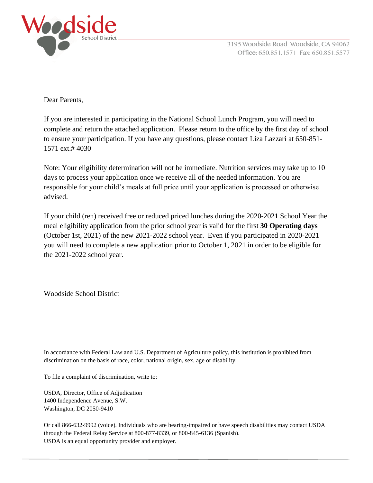

Dear Parents,

If you are interested in participating in the National School Lunch Program, you will need to complete and return the attached application. Please return to the office by the first day of school to ensure your participation. If you have any questions, please contact Liza Lazzari at 650-851- 1571 ext.# 4030

Note: Your eligibility determination will not be immediate. Nutrition services may take up to 10 days to process your application once we receive all of the needed information. You are responsible for your child's meals at full price until your application is processed or otherwise advised.

If your child (ren) received free or reduced priced lunches during the 2020-2021 School Year the meal eligibility application from the prior school year is valid for the first **30 Operating days** (October 1st, 2021) of the new 2021-2022 school year. Even if you participated in 2020-2021 you will need to complete a new application prior to October 1, 2021 in order to be eligible for the 2021-2022 school year.

Woodside School District

In accordance with Federal Law and U.S. Department of Agriculture policy, this institution is prohibited from discrimination on the basis of race, color, national origin, sex, age or disability.

To file a complaint of discrimination, write to:

USDA, Director, Office of Adjudication 1400 Independence Avenue, S.W. Washington, DC 2050-9410

Or call 866-632-9992 (voice). Individuals who are hearing-impaired or have speech disabilities may contact USDA through the Federal Relay Service at 800-877-8339, or 800-845-6136 (Spanish). USDA is an equal opportunity provider and employer.